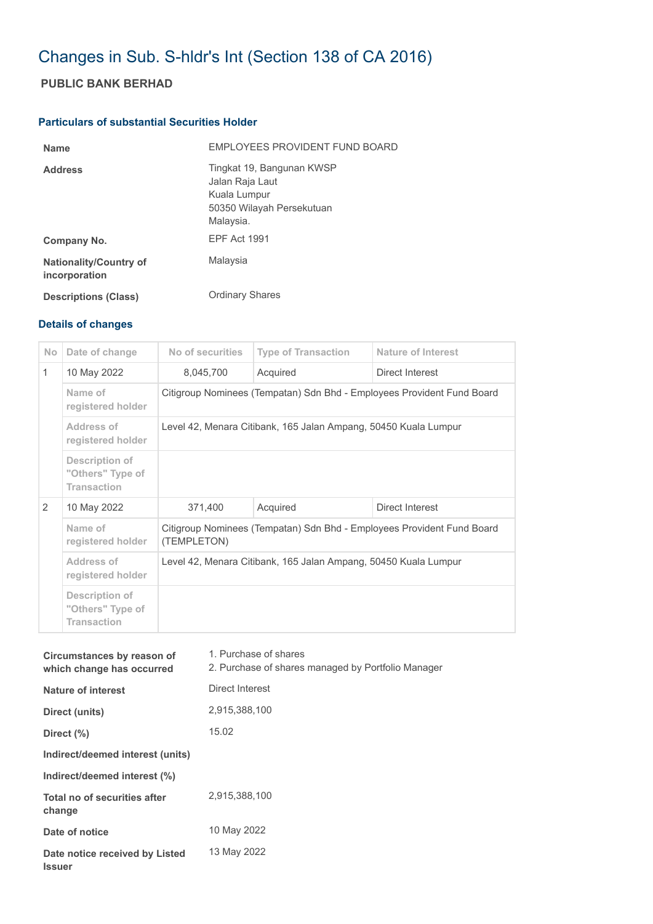## Changes in Sub. S-hldr's Int (Section 138 of CA 2016)

## **PUBLIC BANK BERHAD**

## **Particulars of substantial Securities Holder**

| <b>Name</b>                                    | <b>FMPLOYEES PROVIDENT FUND BOARD</b>                                                                  |
|------------------------------------------------|--------------------------------------------------------------------------------------------------------|
| <b>Address</b>                                 | Tingkat 19, Bangunan KWSP<br>Jalan Raja Laut<br>Kuala Lumpur<br>50350 Wilayah Persekutuan<br>Malaysia. |
| Company No.                                    | <b>FPF Act 1991</b>                                                                                    |
| <b>Nationality/Country of</b><br>incorporation | Malaysia                                                                                               |
| <b>Descriptions (Class)</b>                    | <b>Ordinary Shares</b>                                                                                 |

## **Details of changes**

| N <sub>o</sub> | Date of change                                                  | No of securities                                                                      | <b>Type of Transaction</b> | <b>Nature of Interest</b> |  |
|----------------|-----------------------------------------------------------------|---------------------------------------------------------------------------------------|----------------------------|---------------------------|--|
| $\mathbf{1}$   | 10 May 2022                                                     | 8,045,700                                                                             | Acquired                   | Direct Interest           |  |
|                | Name of<br>registered holder                                    | Citigroup Nominees (Tempatan) Sdn Bhd - Employees Provident Fund Board                |                            |                           |  |
|                | Address of<br>registered holder                                 | Level 42, Menara Citibank, 165 Jalan Ampang, 50450 Kuala Lumpur                       |                            |                           |  |
|                | <b>Description of</b><br>"Others" Type of<br><b>Transaction</b> |                                                                                       |                            |                           |  |
| 2              | 10 May 2022                                                     | 371,400                                                                               | Acquired                   | Direct Interest           |  |
|                | Name of<br>registered holder                                    | Citigroup Nominees (Tempatan) Sdn Bhd - Employees Provident Fund Board<br>(TEMPLETON) |                            |                           |  |
|                | Address of<br>registered holder                                 | Level 42, Menara Citibank, 165 Jalan Ampang, 50450 Kuala Lumpur                       |                            |                           |  |
|                | <b>Description of</b><br>"Others" Type of<br><b>Transaction</b> |                                                                                       |                            |                           |  |

| Circumstances by reason of<br>which change has occurred | 1. Purchase of shares<br>2. Purchase of shares managed by Portfolio Manager |
|---------------------------------------------------------|-----------------------------------------------------------------------------|
| Nature of interest                                      | Direct Interest                                                             |
| Direct (units)                                          | 2,915,388,100                                                               |
| Direct $(\% )$                                          | 15.02                                                                       |
| Indirect/deemed interest (units)                        |                                                                             |
| Indirect/deemed interest (%)                            |                                                                             |
| Total no of securities after<br>change                  | 2.915.388.100                                                               |
| Date of notice                                          | 10 May 2022                                                                 |
| Date notice received by Listed<br><b>Issuer</b>         | 13 May 2022                                                                 |